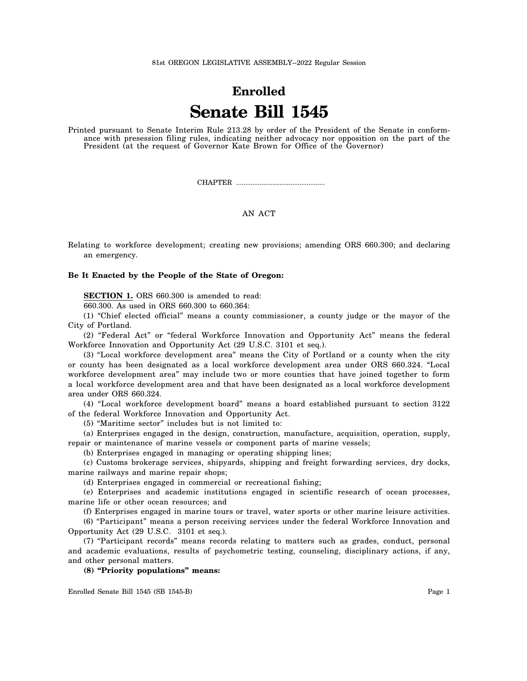# **Enrolled Senate Bill 1545**

Printed pursuant to Senate Interim Rule 213.28 by order of the President of the Senate in conformance with presession filing rules, indicating neither advocacy nor opposition on the part of the President (at the request of Governor Kate Brown for Office of the Governor)

CHAPTER .................................................

## AN ACT

Relating to workforce development; creating new provisions; amending ORS 660.300; and declaring an emergency.

## **Be It Enacted by the People of the State of Oregon:**

**SECTION 1.** ORS 660.300 is amended to read:

660.300. As used in ORS 660.300 to 660.364:

(1) "Chief elected official" means a county commissioner, a county judge or the mayor of the City of Portland.

(2) "Federal Act" or "federal Workforce Innovation and Opportunity Act" means the federal Workforce Innovation and Opportunity Act (29 U.S.C. 3101 et seq.).

(3) "Local workforce development area" means the City of Portland or a county when the city or county has been designated as a local workforce development area under ORS 660.324. "Local workforce development area" may include two or more counties that have joined together to form a local workforce development area and that have been designated as a local workforce development area under ORS 660.324.

(4) "Local workforce development board" means a board established pursuant to section 3122 of the federal Workforce Innovation and Opportunity Act.

(5) "Maritime sector" includes but is not limited to:

(a) Enterprises engaged in the design, construction, manufacture, acquisition, operation, supply, repair or maintenance of marine vessels or component parts of marine vessels;

(b) Enterprises engaged in managing or operating shipping lines;

(c) Customs brokerage services, shipyards, shipping and freight forwarding services, dry docks, marine railways and marine repair shops;

(d) Enterprises engaged in commercial or recreational fishing;

(e) Enterprises and academic institutions engaged in scientific research of ocean processes, marine life or other ocean resources; and

(f) Enterprises engaged in marine tours or travel, water sports or other marine leisure activities.

(6) "Participant" means a person receiving services under the federal Workforce Innovation and Opportunity Act (29 U.S.C. 3101 et seq.).

(7) "Participant records" means records relating to matters such as grades, conduct, personal and academic evaluations, results of psychometric testing, counseling, disciplinary actions, if any, and other personal matters.

**(8) "Priority populations" means:**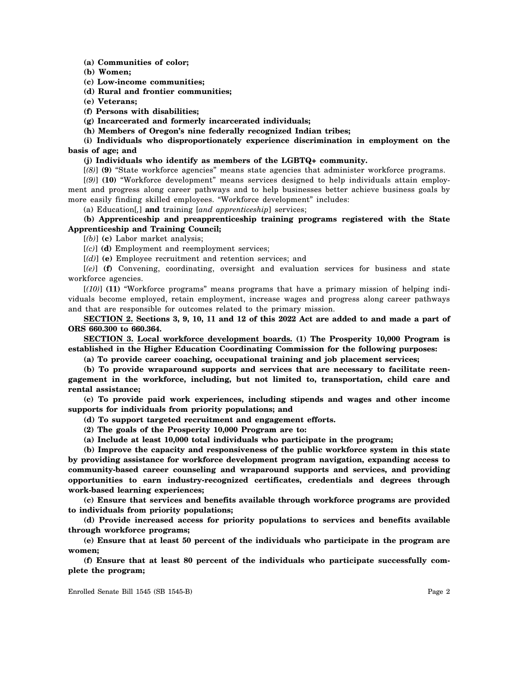**(a) Communities of color;**

**(b) Women;**

**(c) Low-income communities;**

**(d) Rural and frontier communities;**

**(e) Veterans;**

**(f) Persons with disabilities;**

**(g) Incarcerated and formerly incarcerated individuals;**

**(h) Members of Oregon's nine federally recognized Indian tribes;**

**(i) Individuals who disproportionately experience discrimination in employment on the basis of age; and**

#### **(j) Individuals who identify as members of the LGBTQ+ community.**

[*(8)*] **(9)** "State workforce agencies" means state agencies that administer workforce programs.

[*(9)*] **(10)** "Workforce development" means services designed to help individuals attain employment and progress along career pathways and to help businesses better achieve business goals by more easily finding skilled employees. "Workforce development" includes:

(a) Education[*,*] **and** training [*and apprenticeship*] services;

**(b) Apprenticeship and preapprenticeship training programs registered with the State Apprenticeship and Training Council;**

[*(b)*] **(c)** Labor market analysis;

[*(c)*] **(d)** Employment and reemployment services;

[*(d)*] **(e)** Employee recruitment and retention services; and

[*(e)*] **(f)** Convening, coordinating, oversight and evaluation services for business and state workforce agencies.

[*(10)*] **(11)** "Workforce programs" means programs that have a primary mission of helping individuals become employed, retain employment, increase wages and progress along career pathways and that are responsible for outcomes related to the primary mission.

**SECTION 2. Sections 3, 9, 10, 11 and 12 of this 2022 Act are added to and made a part of ORS 660.300 to 660.364.**

**SECTION 3. Local workforce development boards. (1) The Prosperity 10,000 Program is established in the Higher Education Coordinating Commission for the following purposes:**

**(a) To provide career coaching, occupational training and job placement services;**

**(b) To provide wraparound supports and services that are necessary to facilitate reengagement in the workforce, including, but not limited to, transportation, child care and rental assistance;**

**(c) To provide paid work experiences, including stipends and wages and other income supports for individuals from priority populations; and**

**(d) To support targeted recruitment and engagement efforts.**

**(2) The goals of the Prosperity 10,000 Program are to:**

**(a) Include at least 10,000 total individuals who participate in the program;**

**(b) Improve the capacity and responsiveness of the public workforce system in this state by providing assistance for workforce development program navigation, expanding access to community-based career counseling and wraparound supports and services, and providing opportunities to earn industry-recognized certificates, credentials and degrees through work-based learning experiences;**

**(c) Ensure that services and benefits available through workforce programs are provided to individuals from priority populations;**

**(d) Provide increased access for priority populations to services and benefits available through workforce programs;**

**(e) Ensure that at least 50 percent of the individuals who participate in the program are women;**

**(f) Ensure that at least 80 percent of the individuals who participate successfully complete the program;**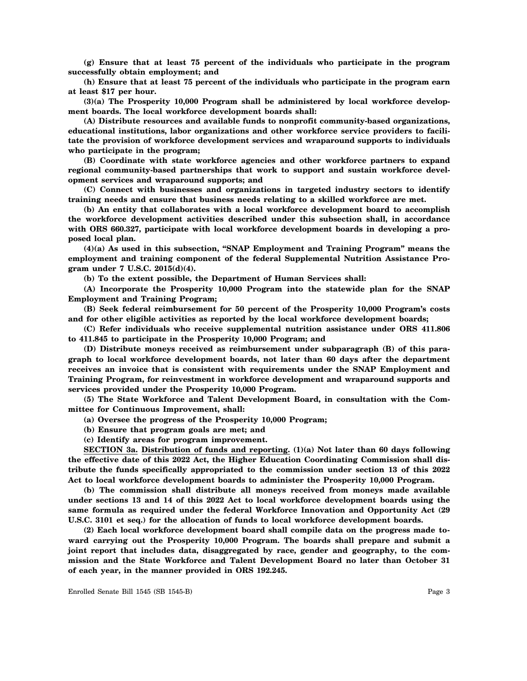**(g) Ensure that at least 75 percent of the individuals who participate in the program successfully obtain employment; and**

**(h) Ensure that at least 75 percent of the individuals who participate in the program earn at least \$17 per hour.**

**(3)(a) The Prosperity 10,000 Program shall be administered by local workforce development boards. The local workforce development boards shall:**

**(A) Distribute resources and available funds to nonprofit community-based organizations, educational institutions, labor organizations and other workforce service providers to facilitate the provision of workforce development services and wraparound supports to individuals who participate in the program;**

**(B) Coordinate with state workforce agencies and other workforce partners to expand regional community-based partnerships that work to support and sustain workforce development services and wraparound supports; and**

**(C) Connect with businesses and organizations in targeted industry sectors to identify training needs and ensure that business needs relating to a skilled workforce are met.**

**(b) An entity that collaborates with a local workforce development board to accomplish the workforce development activities described under this subsection shall, in accordance with ORS 660.327, participate with local workforce development boards in developing a proposed local plan.**

**(4)(a) As used in this subsection, "SNAP Employment and Training Program" means the employment and training component of the federal Supplemental Nutrition Assistance Program under 7 U.S.C. 2015(d)(4).**

**(b) To the extent possible, the Department of Human Services shall:**

**(A) Incorporate the Prosperity 10,000 Program into the statewide plan for the SNAP Employment and Training Program;**

**(B) Seek federal reimbursement for 50 percent of the Prosperity 10,000 Program's costs and for other eligible activities as reported by the local workforce development boards;**

**(C) Refer individuals who receive supplemental nutrition assistance under ORS 411.806 to 411.845 to participate in the Prosperity 10,000 Program; and**

**(D) Distribute moneys received as reimbursement under subparagraph (B) of this paragraph to local workforce development boards, not later than 60 days after the department receives an invoice that is consistent with requirements under the SNAP Employment and Training Program, for reinvestment in workforce development and wraparound supports and services provided under the Prosperity 10,000 Program.**

**(5) The State Workforce and Talent Development Board, in consultation with the Committee for Continuous Improvement, shall:**

**(a) Oversee the progress of the Prosperity 10,000 Program;**

**(b) Ensure that program goals are met; and**

**(c) Identify areas for program improvement.**

**SECTION 3a. Distribution of funds and reporting. (1)(a) Not later than 60 days following the effective date of this 2022 Act, the Higher Education Coordinating Commission shall distribute the funds specifically appropriated to the commission under section 13 of this 2022 Act to local workforce development boards to administer the Prosperity 10,000 Program.**

**(b) The commission shall distribute all moneys received from moneys made available under sections 13 and 14 of this 2022 Act to local workforce development boards using the same formula as required under the federal Workforce Innovation and Opportunity Act (29 U.S.C. 3101 et seq.) for the allocation of funds to local workforce development boards.**

**(2) Each local workforce development board shall compile data on the progress made toward carrying out the Prosperity 10,000 Program. The boards shall prepare and submit a joint report that includes data, disaggregated by race, gender and geography, to the commission and the State Workforce and Talent Development Board no later than October 31 of each year, in the manner provided in ORS 192.245.**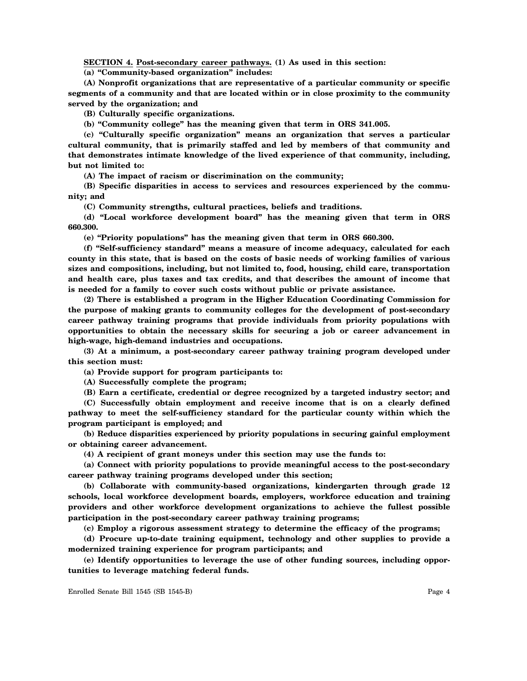**SECTION 4. Post-secondary career pathways. (1) As used in this section:**

**(a) "Community-based organization" includes:**

**(A) Nonprofit organizations that are representative of a particular community or specific segments of a community and that are located within or in close proximity to the community served by the organization; and**

**(B) Culturally specific organizations.**

**(b) "Community college" has the meaning given that term in ORS 341.005.**

**(c) "Culturally specific organization" means an organization that serves a particular cultural community, that is primarily staffed and led by members of that community and that demonstrates intimate knowledge of the lived experience of that community, including, but not limited to:**

**(A) The impact of racism or discrimination on the community;**

**(B) Specific disparities in access to services and resources experienced by the community; and**

**(C) Community strengths, cultural practices, beliefs and traditions.**

**(d) "Local workforce development board" has the meaning given that term in ORS 660.300.**

**(e) "Priority populations" has the meaning given that term in ORS 660.300.**

**(f) "Self-sufficiency standard" means a measure of income adequacy, calculated for each county in this state, that is based on the costs of basic needs of working families of various sizes and compositions, including, but not limited to, food, housing, child care, transportation and health care, plus taxes and tax credits, and that describes the amount of income that is needed for a family to cover such costs without public or private assistance.**

**(2) There is established a program in the Higher Education Coordinating Commission for the purpose of making grants to community colleges for the development of post-secondary career pathway training programs that provide individuals from priority populations with opportunities to obtain the necessary skills for securing a job or career advancement in high-wage, high-demand industries and occupations.**

**(3) At a minimum, a post-secondary career pathway training program developed under this section must:**

**(a) Provide support for program participants to:**

**(A) Successfully complete the program;**

**(B) Earn a certificate, credential or degree recognized by a targeted industry sector; and**

**(C) Successfully obtain employment and receive income that is on a clearly defined pathway to meet the self-sufficiency standard for the particular county within which the program participant is employed; and**

**(b) Reduce disparities experienced by priority populations in securing gainful employment or obtaining career advancement.**

**(4) A recipient of grant moneys under this section may use the funds to:**

**(a) Connect with priority populations to provide meaningful access to the post-secondary career pathway training programs developed under this section;**

**(b) Collaborate with community-based organizations, kindergarten through grade 12 schools, local workforce development boards, employers, workforce education and training providers and other workforce development organizations to achieve the fullest possible participation in the post-secondary career pathway training programs;**

**(c) Employ a rigorous assessment strategy to determine the efficacy of the programs;**

**(d) Procure up-to-date training equipment, technology and other supplies to provide a modernized training experience for program participants; and**

**(e) Identify opportunities to leverage the use of other funding sources, including opportunities to leverage matching federal funds.**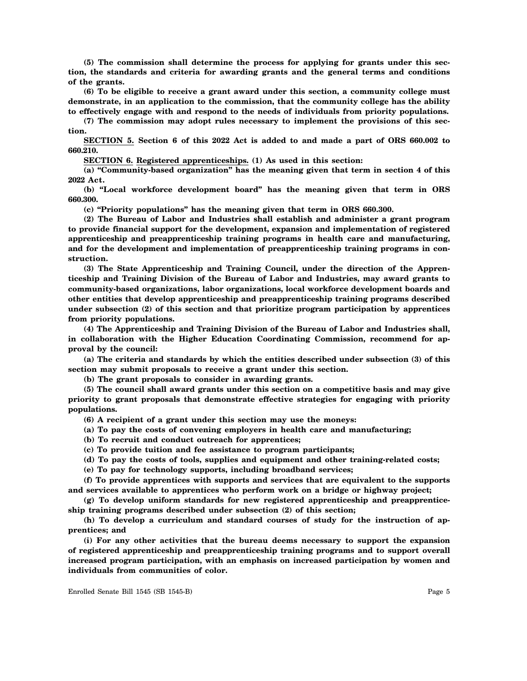**(5) The commission shall determine the process for applying for grants under this section, the standards and criteria for awarding grants and the general terms and conditions of the grants.**

**(6) To be eligible to receive a grant award under this section, a community college must demonstrate, in an application to the commission, that the community college has the ability to effectively engage with and respond to the needs of individuals from priority populations.**

**(7) The commission may adopt rules necessary to implement the provisions of this section.**

**SECTION 5. Section 6 of this 2022 Act is added to and made a part of ORS 660.002 to 660.210.**

**SECTION 6. Registered apprenticeships. (1) As used in this section:**

**(a) "Community-based organization" has the meaning given that term in section 4 of this 2022 Act.**

**(b) "Local workforce development board" has the meaning given that term in ORS 660.300.**

**(c) "Priority populations" has the meaning given that term in ORS 660.300.**

**(2) The Bureau of Labor and Industries shall establish and administer a grant program to provide financial support for the development, expansion and implementation of registered apprenticeship and preapprenticeship training programs in health care and manufacturing, and for the development and implementation of preapprenticeship training programs in construction.**

**(3) The State Apprenticeship and Training Council, under the direction of the Apprenticeship and Training Division of the Bureau of Labor and Industries, may award grants to community-based organizations, labor organizations, local workforce development boards and other entities that develop apprenticeship and preapprenticeship training programs described under subsection (2) of this section and that prioritize program participation by apprentices from priority populations.**

**(4) The Apprenticeship and Training Division of the Bureau of Labor and Industries shall, in collaboration with the Higher Education Coordinating Commission, recommend for approval by the council:**

**(a) The criteria and standards by which the entities described under subsection (3) of this section may submit proposals to receive a grant under this section.**

**(b) The grant proposals to consider in awarding grants.**

**(5) The council shall award grants under this section on a competitive basis and may give priority to grant proposals that demonstrate effective strategies for engaging with priority populations.**

**(6) A recipient of a grant under this section may use the moneys:**

**(a) To pay the costs of convening employers in health care and manufacturing;**

**(b) To recruit and conduct outreach for apprentices;**

**(c) To provide tuition and fee assistance to program participants;**

**(d) To pay the costs of tools, supplies and equipment and other training-related costs;**

**(e) To pay for technology supports, including broadband services;**

**(f) To provide apprentices with supports and services that are equivalent to the supports and services available to apprentices who perform work on a bridge or highway project;**

**(g) To develop uniform standards for new registered apprenticeship and preapprenticeship training programs described under subsection (2) of this section;**

**(h) To develop a curriculum and standard courses of study for the instruction of apprentices; and**

**(i) For any other activities that the bureau deems necessary to support the expansion of registered apprenticeship and preapprenticeship training programs and to support overall increased program participation, with an emphasis on increased participation by women and individuals from communities of color.**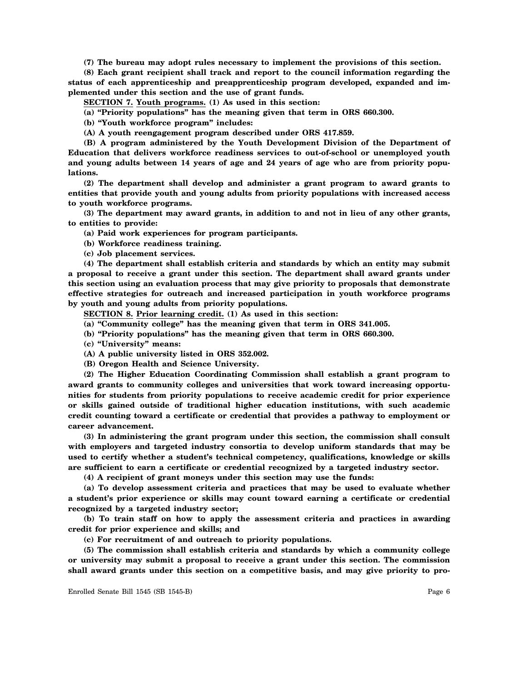**(7) The bureau may adopt rules necessary to implement the provisions of this section.**

**(8) Each grant recipient shall track and report to the council information regarding the status of each apprenticeship and preapprenticeship program developed, expanded and implemented under this section and the use of grant funds.**

**SECTION 7. Youth programs. (1) As used in this section:**

**(a) "Priority populations" has the meaning given that term in ORS 660.300.**

**(b) "Youth workforce program" includes:**

**(A) A youth reengagement program described under ORS 417.859.**

**(B) A program administered by the Youth Development Division of the Department of Education that delivers workforce readiness services to out-of-school or unemployed youth and young adults between 14 years of age and 24 years of age who are from priority populations.**

**(2) The department shall develop and administer a grant program to award grants to entities that provide youth and young adults from priority populations with increased access to youth workforce programs.**

**(3) The department may award grants, in addition to and not in lieu of any other grants, to entities to provide:**

**(a) Paid work experiences for program participants.**

**(b) Workforce readiness training.**

**(c) Job placement services.**

**(4) The department shall establish criteria and standards by which an entity may submit a proposal to receive a grant under this section. The department shall award grants under this section using an evaluation process that may give priority to proposals that demonstrate effective strategies for outreach and increased participation in youth workforce programs by youth and young adults from priority populations.**

**SECTION 8. Prior learning credit. (1) As used in this section:**

- **(a) "Community college" has the meaning given that term in ORS 341.005.**
- **(b) "Priority populations" has the meaning given that term in ORS 660.300.**

**(c) "University" means:**

**(A) A public university listed in ORS 352.002.**

**(B) Oregon Health and Science University.**

**(2) The Higher Education Coordinating Commission shall establish a grant program to award grants to community colleges and universities that work toward increasing opportunities for students from priority populations to receive academic credit for prior experience or skills gained outside of traditional higher education institutions, with such academic credit counting toward a certificate or credential that provides a pathway to employment or career advancement.**

**(3) In administering the grant program under this section, the commission shall consult with employers and targeted industry consortia to develop uniform standards that may be used to certify whether a student's technical competency, qualifications, knowledge or skills are sufficient to earn a certificate or credential recognized by a targeted industry sector.**

**(4) A recipient of grant moneys under this section may use the funds:**

**(a) To develop assessment criteria and practices that may be used to evaluate whether a student's prior experience or skills may count toward earning a certificate or credential recognized by a targeted industry sector;**

**(b) To train staff on how to apply the assessment criteria and practices in awarding credit for prior experience and skills; and**

**(c) For recruitment of and outreach to priority populations.**

**(5) The commission shall establish criteria and standards by which a community college or university may submit a proposal to receive a grant under this section. The commission shall award grants under this section on a competitive basis, and may give priority to pro-**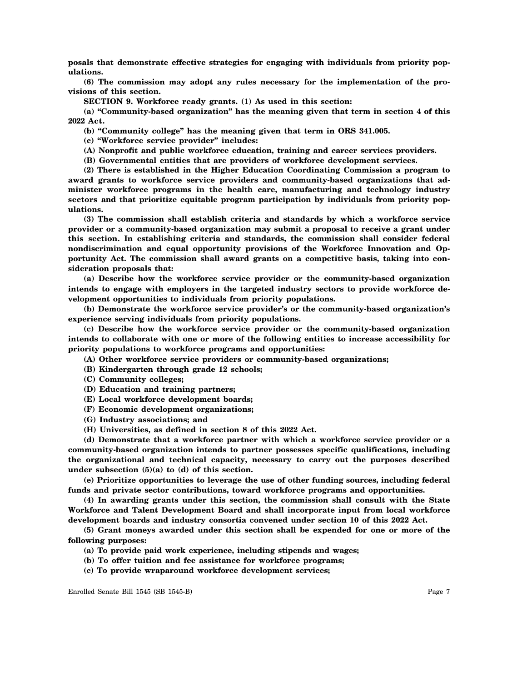**posals that demonstrate effective strategies for engaging with individuals from priority populations.**

**(6) The commission may adopt any rules necessary for the implementation of the provisions of this section.**

**SECTION 9. Workforce ready grants. (1) As used in this section:**

**(a) "Community-based organization" has the meaning given that term in section 4 of this 2022 Act.**

**(b) "Community college" has the meaning given that term in ORS 341.005.**

**(c) "Workforce service provider" includes:**

- **(A) Nonprofit and public workforce education, training and career services providers.**
- **(B) Governmental entities that are providers of workforce development services.**

**(2) There is established in the Higher Education Coordinating Commission a program to award grants to workforce service providers and community-based organizations that administer workforce programs in the health care, manufacturing and technology industry sectors and that prioritize equitable program participation by individuals from priority populations.**

**(3) The commission shall establish criteria and standards by which a workforce service provider or a community-based organization may submit a proposal to receive a grant under this section. In establishing criteria and standards, the commission shall consider federal nondiscrimination and equal opportunity provisions of the Workforce Innovation and Opportunity Act. The commission shall award grants on a competitive basis, taking into consideration proposals that:**

**(a) Describe how the workforce service provider or the community-based organization intends to engage with employers in the targeted industry sectors to provide workforce development opportunities to individuals from priority populations.**

**(b) Demonstrate the workforce service provider's or the community-based organization's experience serving individuals from priority populations.**

**(c) Describe how the workforce service provider or the community-based organization intends to collaborate with one or more of the following entities to increase accessibility for priority populations to workforce programs and opportunities:**

**(A) Other workforce service providers or community-based organizations;**

- **(B) Kindergarten through grade 12 schools;**
- **(C) Community colleges;**
- **(D) Education and training partners;**
- **(E) Local workforce development boards;**
- **(F) Economic development organizations;**
- **(G) Industry associations; and**
- **(H) Universities, as defined in section 8 of this 2022 Act.**

**(d) Demonstrate that a workforce partner with which a workforce service provider or a community-based organization intends to partner possesses specific qualifications, including the organizational and technical capacity, necessary to carry out the purposes described under subsection (5)(a) to (d) of this section.**

**(e) Prioritize opportunities to leverage the use of other funding sources, including federal funds and private sector contributions, toward workforce programs and opportunities.**

**(4) In awarding grants under this section, the commission shall consult with the State Workforce and Talent Development Board and shall incorporate input from local workforce development boards and industry consortia convened under section 10 of this 2022 Act.**

**(5) Grant moneys awarded under this section shall be expended for one or more of the following purposes:**

- **(a) To provide paid work experience, including stipends and wages;**
- **(b) To offer tuition and fee assistance for workforce programs;**
- **(c) To provide wraparound workforce development services;**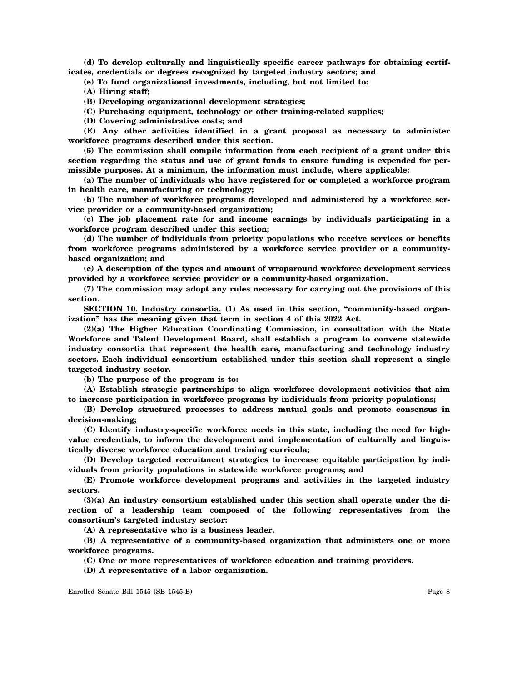**(d) To develop culturally and linguistically specific career pathways for obtaining certificates, credentials or degrees recognized by targeted industry sectors; and**

**(e) To fund organizational investments, including, but not limited to:**

**(A) Hiring staff;**

**(B) Developing organizational development strategies;**

**(C) Purchasing equipment, technology or other training-related supplies;**

**(D) Covering administrative costs; and**

**(E) Any other activities identified in a grant proposal as necessary to administer workforce programs described under this section.**

**(6) The commission shall compile information from each recipient of a grant under this section regarding the status and use of grant funds to ensure funding is expended for permissible purposes. At a minimum, the information must include, where applicable:**

**(a) The number of individuals who have registered for or completed a workforce program in health care, manufacturing or technology;**

**(b) The number of workforce programs developed and administered by a workforce service provider or a community-based organization;**

**(c) The job placement rate for and income earnings by individuals participating in a workforce program described under this section;**

**(d) The number of individuals from priority populations who receive services or benefits from workforce programs administered by a workforce service provider or a communitybased organization; and**

**(e) A description of the types and amount of wraparound workforce development services provided by a workforce service provider or a community-based organization.**

**(7) The commission may adopt any rules necessary for carrying out the provisions of this section.**

**SECTION 10. Industry consortia. (1) As used in this section, "community-based organization" has the meaning given that term in section 4 of this 2022 Act.**

**(2)(a) The Higher Education Coordinating Commission, in consultation with the State Workforce and Talent Development Board, shall establish a program to convene statewide industry consortia that represent the health care, manufacturing and technology industry sectors. Each individual consortium established under this section shall represent a single targeted industry sector.**

**(b) The purpose of the program is to:**

**(A) Establish strategic partnerships to align workforce development activities that aim to increase participation in workforce programs by individuals from priority populations;**

**(B) Develop structured processes to address mutual goals and promote consensus in decision-making;**

**(C) Identify industry-specific workforce needs in this state, including the need for highvalue credentials, to inform the development and implementation of culturally and linguistically diverse workforce education and training curricula;**

**(D) Develop targeted recruitment strategies to increase equitable participation by individuals from priority populations in statewide workforce programs; and**

**(E) Promote workforce development programs and activities in the targeted industry sectors.**

**(3)(a) An industry consortium established under this section shall operate under the direction of a leadership team composed of the following representatives from the consortium's targeted industry sector:**

**(A) A representative who is a business leader.**

**(B) A representative of a community-based organization that administers one or more workforce programs.**

**(C) One or more representatives of workforce education and training providers.**

**(D) A representative of a labor organization.**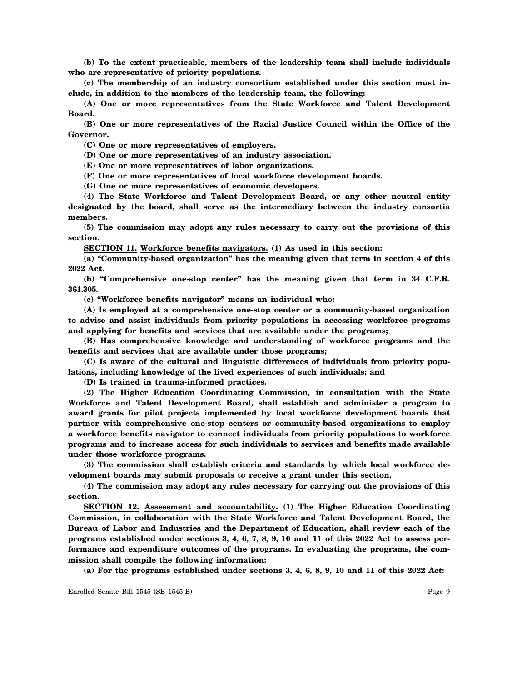**(b) To the extent practicable, members of the leadership team shall include individuals who are representative of priority populations.**

**(c) The membership of an industry consortium established under this section must include, in addition to the members of the leadership team, the following:**

**(A) One or more representatives from the State Workforce and Talent Development Board.**

**(B) One or more representatives of the Racial Justice Council within the Office of the Governor.**

**(C) One or more representatives of employers.**

**(D) One or more representatives of an industry association.**

**(E) One or more representatives of labor organizations.**

**(F) One or more representatives of local workforce development boards.**

**(G) One or more representatives of economic developers.**

**(4) The State Workforce and Talent Development Board, or any other neutral entity designated by the board, shall serve as the intermediary between the industry consortia members.**

**(5) The commission may adopt any rules necessary to carry out the provisions of this section.**

**SECTION 11. Workforce benefits navigators. (1) As used in this section:**

**(a) "Community-based organization" has the meaning given that term in section 4 of this 2022 Act.**

**(b) "Comprehensive one-stop center" has the meaning given that term in 34 C.F.R. 361.305.**

**(c) "Workforce benefits navigator" means an individual who:**

**(A) Is employed at a comprehensive one-stop center or a community-based organization to advise and assist individuals from priority populations in accessing workforce programs and applying for benefits and services that are available under the programs;**

**(B) Has comprehensive knowledge and understanding of workforce programs and the benefits and services that are available under those programs;**

**(C) Is aware of the cultural and linguistic differences of individuals from priority populations, including knowledge of the lived experiences of such individuals; and**

**(D) Is trained in trauma-informed practices.**

**(2) The Higher Education Coordinating Commission, in consultation with the State Workforce and Talent Development Board, shall establish and administer a program to award grants for pilot projects implemented by local workforce development boards that partner with comprehensive one-stop centers or community-based organizations to employ a workforce benefits navigator to connect individuals from priority populations to workforce programs and to increase access for such individuals to services and benefits made available under those workforce programs.**

**(3) The commission shall establish criteria and standards by which local workforce development boards may submit proposals to receive a grant under this section.**

**(4) The commission may adopt any rules necessary for carrying out the provisions of this section.**

**SECTION 12. Assessment and accountability. (1) The Higher Education Coordinating Commission, in collaboration with the State Workforce and Talent Development Board, the Bureau of Labor and Industries and the Department of Education, shall review each of the programs established under sections 3, 4, 6, 7, 8, 9, 10 and 11 of this 2022 Act to assess performance and expenditure outcomes of the programs. In evaluating the programs, the commission shall compile the following information:**

**(a) For the programs established under sections 3, 4, 6, 8, 9, 10 and 11 of this 2022 Act:**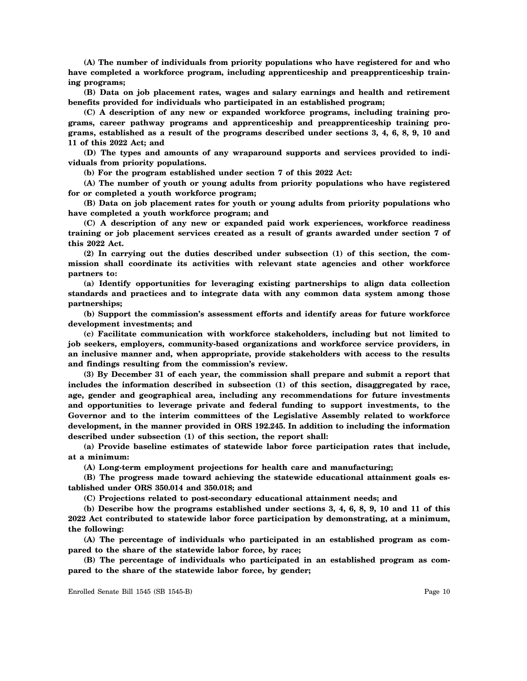**(A) The number of individuals from priority populations who have registered for and who** have completed a workforce program, including apprenticeship and preapprenticeship train**ing programs;**

**(B) Data on job placement rates, wages and salary earnings and health and retirement benefits provided for individuals who participated in an established program;**

**(C) A description of any new or expanded workforce programs, including training programs, career pathway programs and apprenticeship and preapprenticeship training programs, established as a result of the programs described under sections 3, 4, 6, 8, 9, 10 and 11 of this 2022 Act; and**

**(D) The types and amounts of any wraparound supports and services provided to individuals from priority populations.**

**(b) For the program established under section 7 of this 2022 Act:**

**(A) The number of youth or young adults from priority populations who have registered for or completed a youth workforce program;**

**(B) Data on job placement rates for youth or young adults from priority populations who have completed a youth workforce program; and**

**(C) A description of any new or expanded paid work experiences, workforce readiness training or job placement services created as a result of grants awarded under section 7 of this 2022 Act.**

**(2) In carrying out the duties described under subsection (1) of this section, the commission shall coordinate its activities with relevant state agencies and other workforce partners to:**

**(a) Identify opportunities for leveraging existing partnerships to align data collection standards and practices and to integrate data with any common data system among those partnerships;**

**(b) Support the commission's assessment efforts and identify areas for future workforce development investments; and**

**(c) Facilitate communication with workforce stakeholders, including but not limited to job seekers, employers, community-based organizations and workforce service providers, in an inclusive manner and, when appropriate, provide stakeholders with access to the results and findings resulting from the commission's review.**

**(3) By December 31 of each year, the commission shall prepare and submit a report that includes the information described in subsection (1) of this section, disaggregated by race, age, gender and geographical area, including any recommendations for future investments and opportunities to leverage private and federal funding to support investments, to the Governor and to the interim committees of the Legislative Assembly related to workforce development, in the manner provided in ORS 192.245. In addition to including the information described under subsection (1) of this section, the report shall:**

**(a) Provide baseline estimates of statewide labor force participation rates that include, at a minimum:**

**(A) Long-term employment projections for health care and manufacturing;**

**(B) The progress made toward achieving the statewide educational attainment goals established under ORS 350.014 and 350.018; and**

**(C) Projections related to post-secondary educational attainment needs; and**

**(b) Describe how the programs established under sections 3, 4, 6, 8, 9, 10 and 11 of this 2022 Act contributed to statewide labor force participation by demonstrating, at a minimum, the following:**

**(A) The percentage of individuals who participated in an established program as compared to the share of the statewide labor force, by race;**

**(B) The percentage of individuals who participated in an established program as compared to the share of the statewide labor force, by gender;**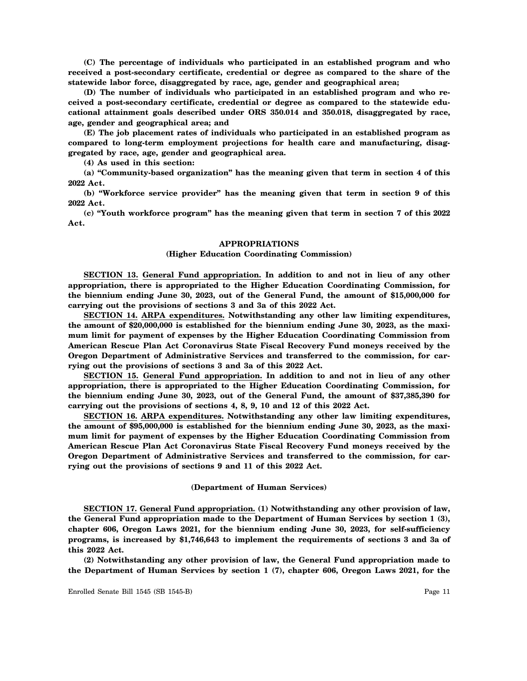**(C) The percentage of individuals who participated in an established program and who received a post-secondary certificate, credential or degree as compared to the share of the statewide labor force, disaggregated by race, age, gender and geographical area;**

**(D) The number of individuals who participated in an established program and who received a post-secondary certificate, credential or degree as compared to the statewide educational attainment goals described under ORS 350.014 and 350.018, disaggregated by race, age, gender and geographical area; and**

**(E) The job placement rates of individuals who participated in an established program as compared to long-term employment projections for health care and manufacturing, disaggregated by race, age, gender and geographical area.**

**(4) As used in this section:**

**(a) "Community-based organization" has the meaning given that term in section 4 of this 2022 Act.**

**(b) "Workforce service provider" has the meaning given that term in section 9 of this 2022 Act.**

**(c) "Youth workforce program" has the meaning given that term in section 7 of this 2022 Act.**

#### **APPROPRIATIONS**

## **(Higher Education Coordinating Commission)**

**SECTION 13. General Fund appropriation. In addition to and not in lieu of any other appropriation, there is appropriated to the Higher Education Coordinating Commission, for the biennium ending June 30, 2023, out of the General Fund, the amount of \$15,000,000 for carrying out the provisions of sections 3 and 3a of this 2022 Act.**

**SECTION 14. ARPA expenditures. Notwithstanding any other law limiting expenditures, the amount of \$20,000,000 is established for the biennium ending June 30, 2023, as the maximum limit for payment of expenses by the Higher Education Coordinating Commission from American Rescue Plan Act Coronavirus State Fiscal Recovery Fund moneys received by the Oregon Department of Administrative Services and transferred to the commission, for carrying out the provisions of sections 3 and 3a of this 2022 Act.**

**SECTION 15. General Fund appropriation. In addition to and not in lieu of any other appropriation, there is appropriated to the Higher Education Coordinating Commission, for the biennium ending June 30, 2023, out of the General Fund, the amount of \$37,385,390 for carrying out the provisions of sections 4, 8, 9, 10 and 12 of this 2022 Act.**

**SECTION 16. ARPA expenditures. Notwithstanding any other law limiting expenditures, the amount of \$95,000,000 is established for the biennium ending June 30, 2023, as the maximum limit for payment of expenses by the Higher Education Coordinating Commission from American Rescue Plan Act Coronavirus State Fiscal Recovery Fund moneys received by the Oregon Department of Administrative Services and transferred to the commission, for carrying out the provisions of sections 9 and 11 of this 2022 Act.**

#### **(Department of Human Services)**

**SECTION 17. General Fund appropriation. (1) Notwithstanding any other provision of law, the General Fund appropriation made to the Department of Human Services by section 1 (3), chapter 606, Oregon Laws 2021, for the biennium ending June 30, 2023, for self-sufficiency programs, is increased by \$1,746,643 to implement the requirements of sections 3 and 3a of this 2022 Act.**

**(2) Notwithstanding any other provision of law, the General Fund appropriation made to the Department of Human Services by section 1 (7), chapter 606, Oregon Laws 2021, for the**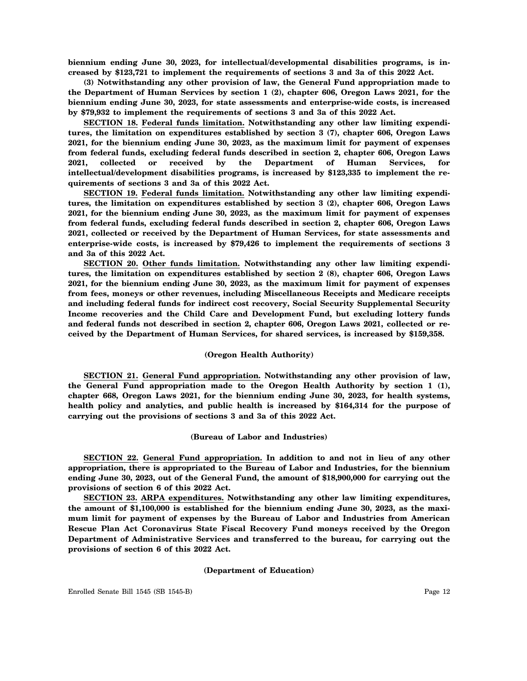**biennium ending June 30, 2023, for intellectual/developmental disabilities programs, is increased by \$123,721 to implement the requirements of sections 3 and 3a of this 2022 Act.**

**(3) Notwithstanding any other provision of law, the General Fund appropriation made to the Department of Human Services by section 1 (2), chapter 606, Oregon Laws 2021, for the biennium ending June 30, 2023, for state assessments and enterprise-wide costs, is increased by \$79,932 to implement the requirements of sections 3 and 3a of this 2022 Act.**

**SECTION 18. Federal funds limitation. Notwithstanding any other law limiting expenditures, the limitation on expenditures established by section 3 (7), chapter 606, Oregon Laws 2021, for the biennium ending June 30, 2023, as the maximum limit for payment of expenses from federal funds, excluding federal funds described in section 2, chapter 606, Oregon Laws 2021, collected or received by the Department of Human Services, for intellectual/development disabilities programs, is increased by \$123,335 to implement the requirements of sections 3 and 3a of this 2022 Act.**

**SECTION 19. Federal funds limitation. Notwithstanding any other law limiting expenditures, the limitation on expenditures established by section 3 (2), chapter 606, Oregon Laws 2021, for the biennium ending June 30, 2023, as the maximum limit for payment of expenses from federal funds, excluding federal funds described in section 2, chapter 606, Oregon Laws 2021, collected or received by the Department of Human Services, for state assessments and enterprise-wide costs, is increased by \$79,426 to implement the requirements of sections 3 and 3a of this 2022 Act.**

**SECTION 20. Other funds limitation. Notwithstanding any other law limiting expenditures, the limitation on expenditures established by section 2 (8), chapter 606, Oregon Laws 2021, for the biennium ending June 30, 2023, as the maximum limit for payment of expenses from fees, moneys or other revenues, including Miscellaneous Receipts and Medicare receipts and including federal funds for indirect cost recovery, Social Security Supplemental Security Income recoveries and the Child Care and Development Fund, but excluding lottery funds and federal funds not described in section 2, chapter 606, Oregon Laws 2021, collected or received by the Department of Human Services, for shared services, is increased by \$159,358.**

## **(Oregon Health Authority)**

**SECTION 21. General Fund appropriation. Notwithstanding any other provision of law, the General Fund appropriation made to the Oregon Health Authority by section 1 (1), chapter 668, Oregon Laws 2021, for the biennium ending June 30, 2023, for health systems, health policy and analytics, and public health is increased by \$164,314 for the purpose of carrying out the provisions of sections 3 and 3a of this 2022 Act.**

#### **(Bureau of Labor and Industries)**

**SECTION 22. General Fund appropriation. In addition to and not in lieu of any other appropriation, there is appropriated to the Bureau of Labor and Industries, for the biennium ending June 30, 2023, out of the General Fund, the amount of \$18,900,000 for carrying out the provisions of section 6 of this 2022 Act.**

**SECTION 23. ARPA expenditures. Notwithstanding any other law limiting expenditures, the amount of \$1,100,000 is established for the biennium ending June 30, 2023, as the maximum limit for payment of expenses by the Bureau of Labor and Industries from American Rescue Plan Act Coronavirus State Fiscal Recovery Fund moneys received by the Oregon Department of Administrative Services and transferred to the bureau, for carrying out the provisions of section 6 of this 2022 Act.**

#### **(Department of Education)**